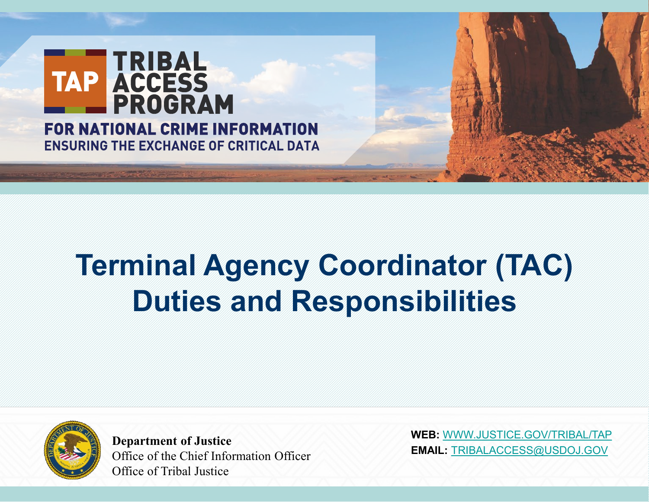

# **Terminal Agency Coordinator (TAC) Duties and Responsibilities**



**Department of Justice** Office of the Chief Information Officer Office of Tribal Justice

**WEB:** [WWW.JUSTICE.GOV/TRIBAL/TAP](http://www.justice.gov/TRIBAL/TAPTRIBALACCESS@USDOJ.GOV) **EMAIL:** [TRIBALACCESS@USDOJ.GOV](http://www.justice.gov/TRIBAL/TAPTRIBALACCESS@USDOJ.GOV)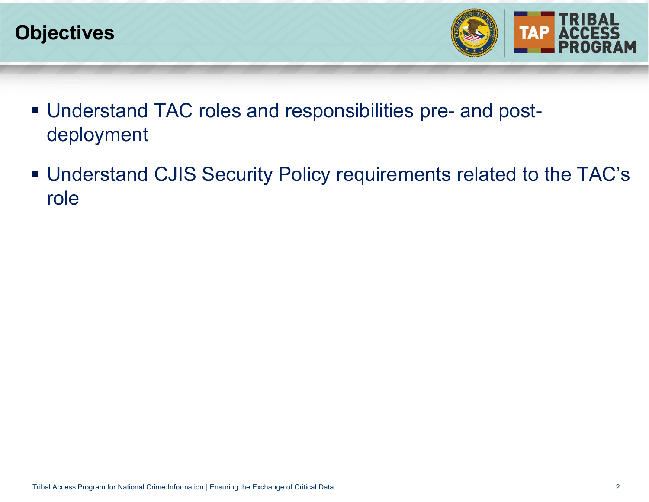



- Understand TAC roles and responsibilities pre- and postdeployment
- Understand CJIS Security Policy requirements related to the TAC's role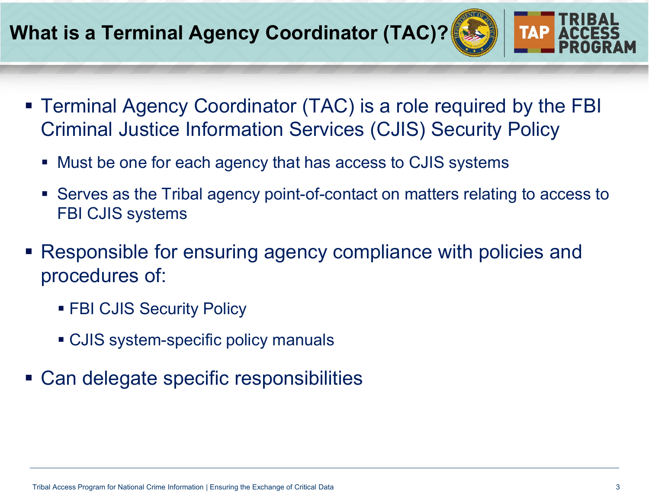#### **What is a Terminal Agency Coordinator (TAC)?**

- Terminal Agency Coordinator (TAC) is a role required by the FBI Criminal Justice Information Services (CJIS) Security Policy
	- Must be one for each agency that has access to CJIS systems
	- Serves as the Tribal agency point-of-contact on matters relating to access to FBI CJIS systems
- Responsible for ensuring agency compliance with policies and procedures of:
	- **FBI CJIS Security Policy**
	- CJIS system-specific policy manuals
- Can delegate specific responsibilities

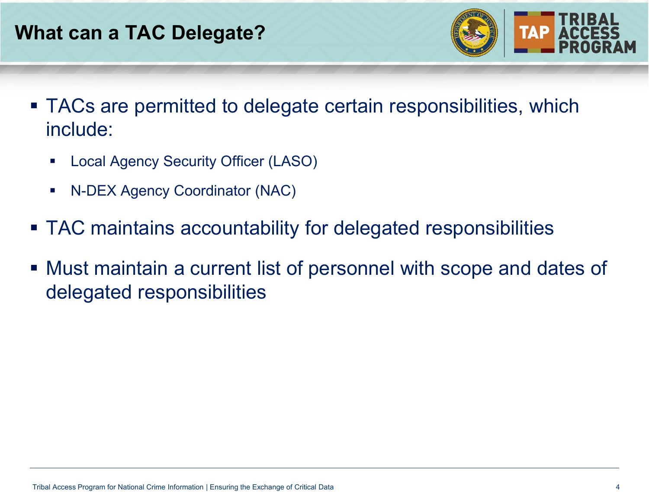

- TACs are permitted to delegate certain responsibilities, which include:
	- **-** Local Agency Security Officer (LASO)
	- N-DEX Agency Coordinator (NAC)
- TAC maintains accountability for delegated responsibilities
- Must maintain a current list of personnel with scope and dates of delegated responsibilities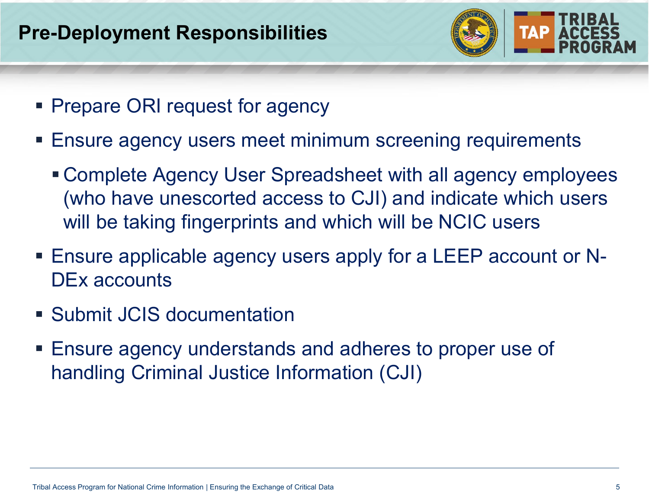

- **Prepare ORI request for agency**
- Ensure agency users meet minimum screening requirements
	- Complete Agency User Spreadsheet with all agency employees (who have unescorted access to CJI) and indicate which users will be taking fingerprints and which will be NCIC users
- Ensure applicable agency users apply for a LEEP account or N-DEx accounts
- Submit JCIS documentation
- Ensure agency understands and adheres to proper use of handling Criminal Justice Information (CJI)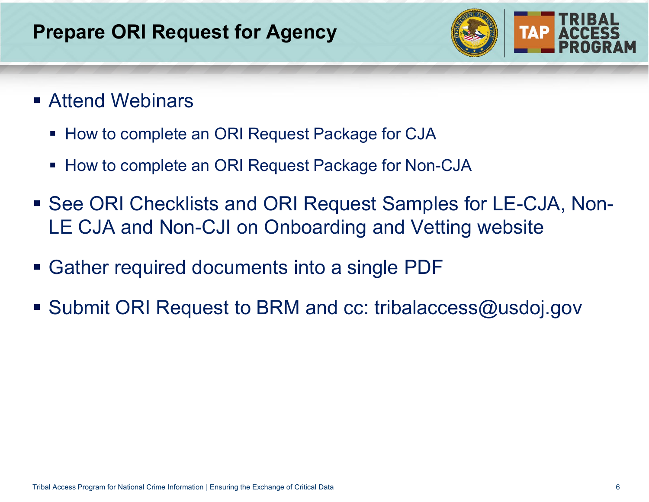## **Prepare ORI Request for Agency**



- Attend Webinars
	- **How to complete an ORI Request Package for CJA**
	- How to complete an ORI Request Package for Non-CJA
- See ORI Checklists and ORI Request Samples for LE-CJA, Non-LE CJA and Non-CJI on Onboarding and Vetting website
- Gather required documents into a single PDF
- Submit ORI Request to BRM and cc: tribalaccess@usdoj.gov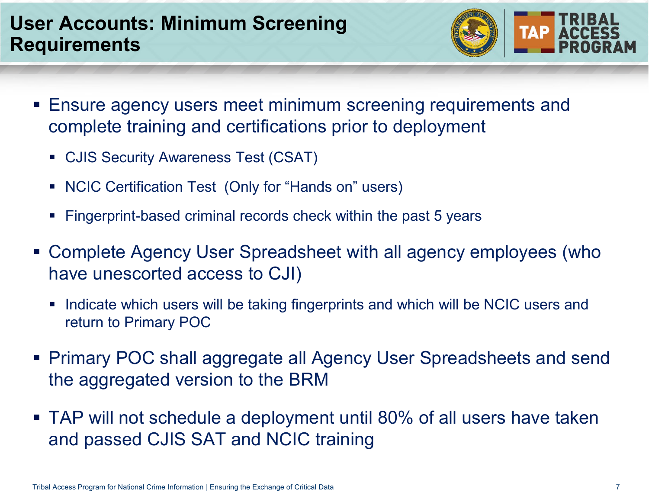#### **User Accounts: Minimum Screening Requirements**

- **TAP ACCES**
- Ensure agency users meet minimum screening requirements and complete training and certifications prior to deployment
	- CJIS Security Awareness Test (CSAT)
	- NCIC Certification Test (Only for "Hands on" users)
	- Fingerprint-based criminal records check within the past 5 years
- Complete Agency User Spreadsheet with all agency employees (who have unescorted access to CJI)
	- Indicate which users will be taking fingerprints and which will be NCIC users and return to Primary POC
- Primary POC shall aggregate all Agency User Spreadsheets and send the aggregated version to the BRM
- TAP will not schedule a deployment until 80% of all users have taken and passed CJIS SAT and NCIC training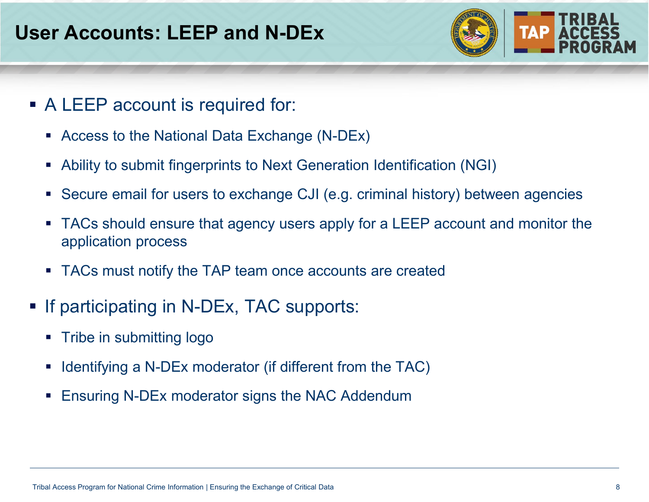

- A LEEP account is required for:
	- Access to the National Data Exchange (N-DEx)
	- Ability to submit fingerprints to Next Generation Identification (NGI)
	- Secure email for users to exchange CJI (e.g. criminal history) between agencies
	- TACs should ensure that agency users apply for a LEEP account and monitor the application process
	- TACs must notify the TAP team once accounts are created
- **If participating in N-DEx, TAC supports:** 
	- **Tribe in submitting logo**
	- **IDED** 1 Identifying a N-DEx moderator (if different from the TAC)
	- **Ensuring N-DEx moderator signs the NAC Addendum**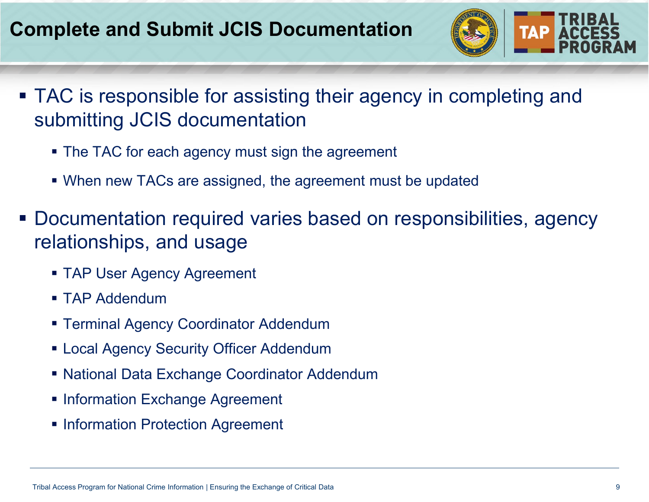# **Complete and Submit JCIS Documentation**



- **TAC** is responsible for assisting their agency in completing and submitting JCIS documentation
	- The TAC for each agency must sign the agreement
	- When new TACs are assigned, the agreement must be updated
- Documentation required varies based on responsibilities, agency relationships, and usage
	- **TAP User Agency Agreement**
	- **TAP Addendum**
	- Terminal Agency Coordinator Addendum
	- **Example 2 Figure 1 Addendum C** Local Agency Security Officer Addendum
	- National Data Exchange Coordinator Addendum
	- Information Exchange Agreement
	- **Information Protection Agreement**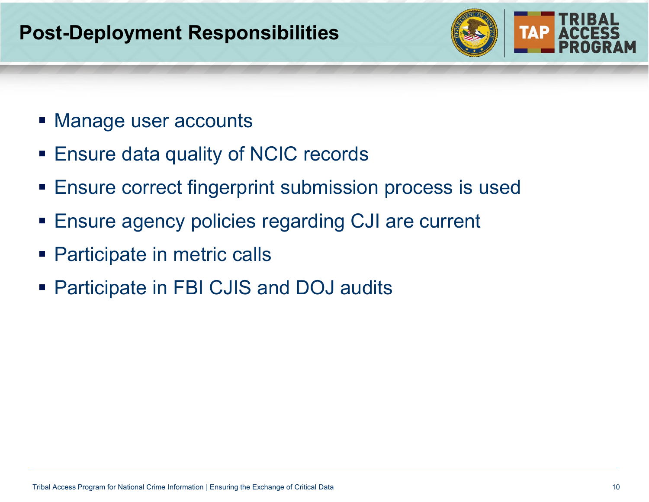# **Post-Deployment Responsibilities**



- **Manage user accounts**
- Ensure data quality of NCIC records
- **Ensure correct fingerprint submission process is used**
- Ensure agency policies regarding CJI are current
- **Participate in metric calls**
- Participate in FBI CJIS and DOJ audits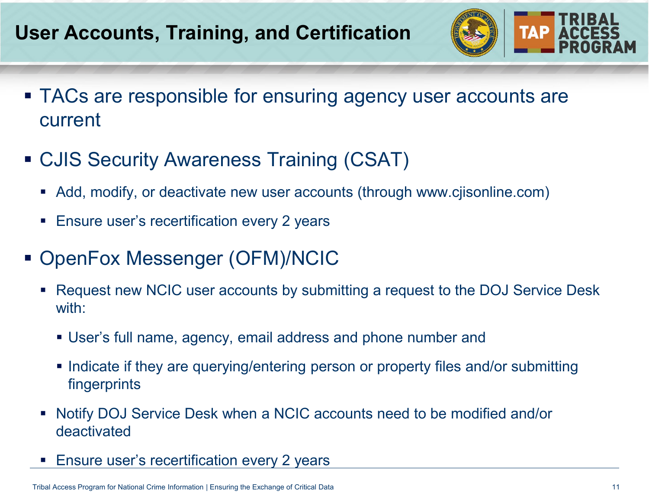# **User Accounts, Training, and Certification**



- TACs are responsible for ensuring agency user accounts are current
- CJIS Security Awareness Training (CSAT)
	- Add, modify, or deactivate new user accounts (through www.cjisonline.com)
	- **Ensure user's recertification every 2 years**
- OpenFox Messenger (OFM)/NCIC
	- Request new NCIC user accounts by submitting a request to the DOJ Service Desk with:
		- User's full name, agency, email address and phone number and
		- Indicate if they are querying/entering person or property files and/or submitting fingerprints
	- Notify DOJ Service Desk when a NCIC accounts need to be modified and/or deactivated
	- Ensure user's recertification every 2 years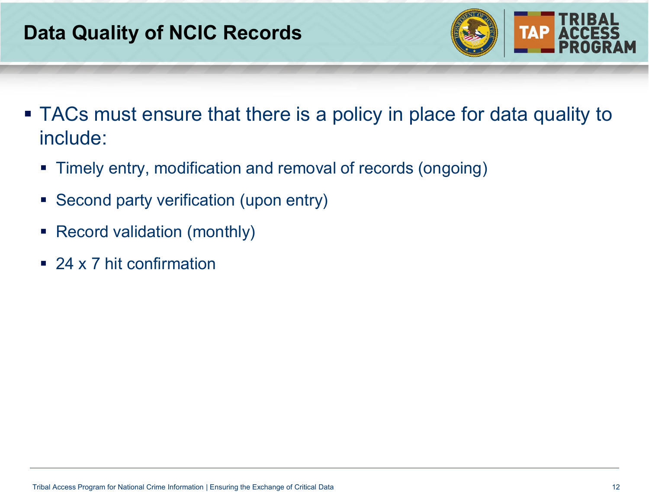

- TACs must ensure that there is a policy in place for data quality to include:
	- Timely entry, modification and removal of records (ongoing)
	- **Second party verification (upon entry)**
	- Record validation (monthly)
	- 24 x 7 hit confirmation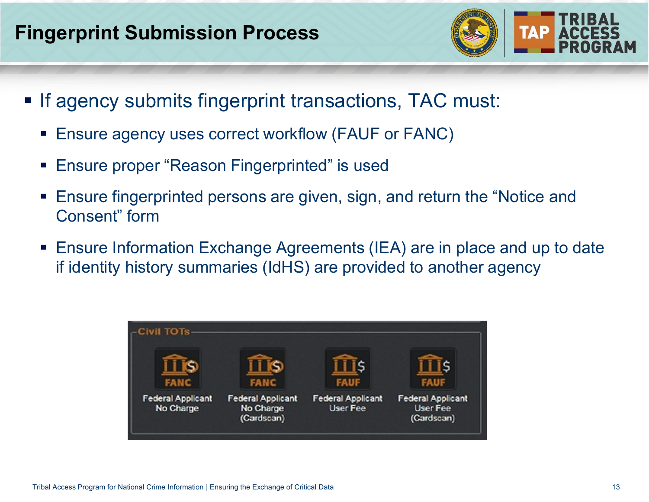## **Fingerprint Submission Process**



- **If agency submits fingerprint transactions, TAC must:** 
	- Ensure agency uses correct workflow (FAUF or FANC)
	- Ensure proper "Reason Fingerprinted" is used
	- Ensure fingerprinted persons are given, sign, and return the "Notice and Consent" form
	- Ensure Information Exchange Agreements (IEA) are in place and up to date if identity history summaries (IdHS) are provided to another agency

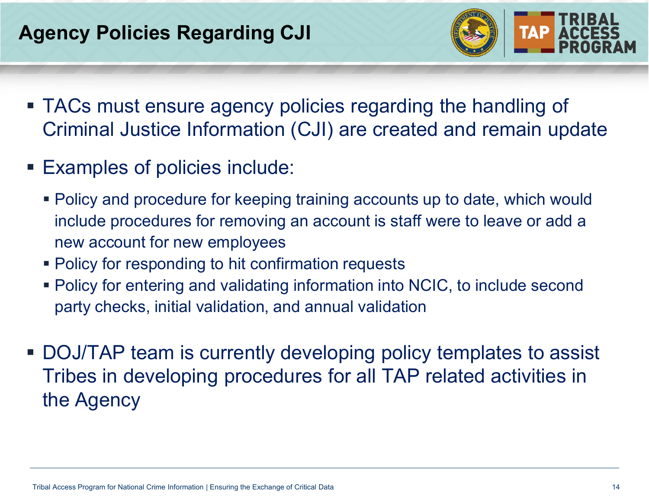# **Agency Policies Regarding CJI**



- TACs must ensure agency policies regarding the handling of Criminal Justice Information (CJI) are created and remain update
- Examples of policies include:
	- Policy and procedure for keeping training accounts up to date, which would include procedures for removing an account is staff were to leave or add a new account for new employees
	- **Policy for responding to hit confirmation requests**
	- Policy for entering and validating information into NCIC, to include second party checks, initial validation, and annual validation
- DOJ/TAP team is currently developing policy templates to assist Tribes in developing procedures for all TAP related activities in the Agency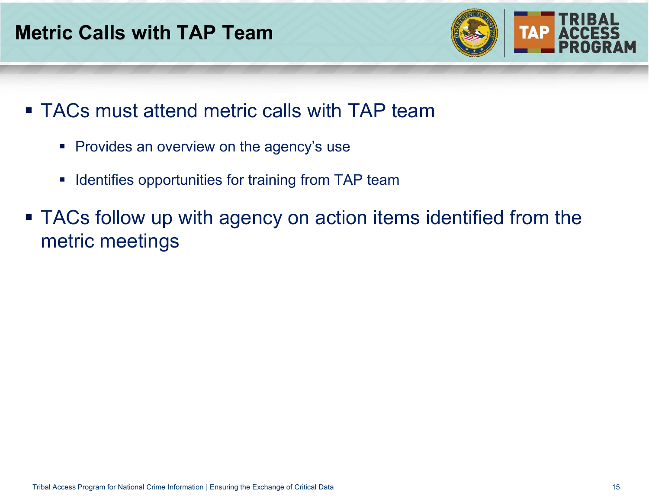## **Metric Calls with TAP Team**



- **TACs must attend metric calls with TAP team** 
	- **Provides an overview on the agency's use**
	- **In Identifies opportunities for training from TAP team**
- **TACs follow up with agency on action items identified from the** metric meetings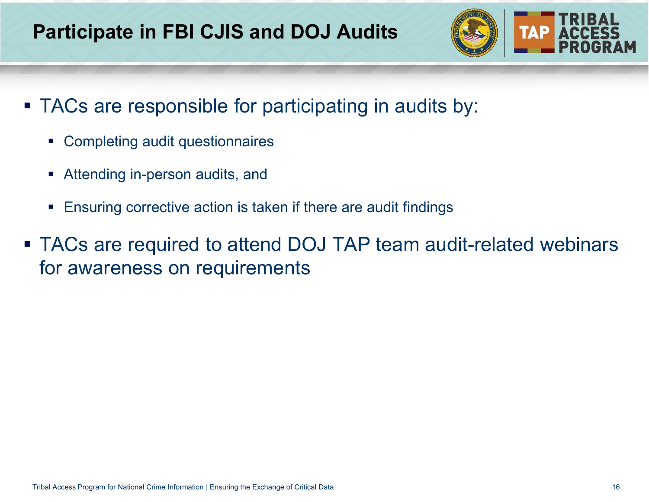

- TACs are responsible for participating in audits by:
	- Completing audit questionnaires
	- **Attending in-person audits, and**
	- **Ensuring corrective action is taken if there are audit findings**
- TACs are required to attend DOJ TAP team audit-related webinars for awareness on requirements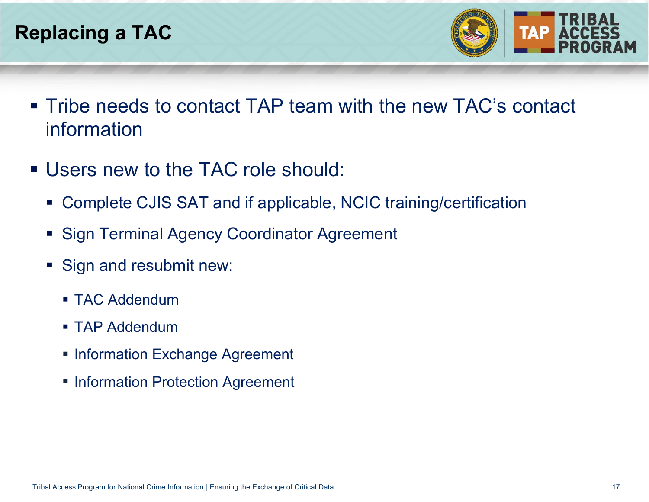

- Tribe needs to contact TAP team with the new TAC's contact information
- Users new to the TAC role should:
	- Complete CJIS SAT and if applicable, NCIC training/certification
	- **Sign Terminal Agency Coordinator Agreement**
	- **Sign and resubmit new:** 
		- **TAC Addendum**
		- **TAP Addendum**
		- **Information Exchange Agreement**
		- **Information Protection Agreement**